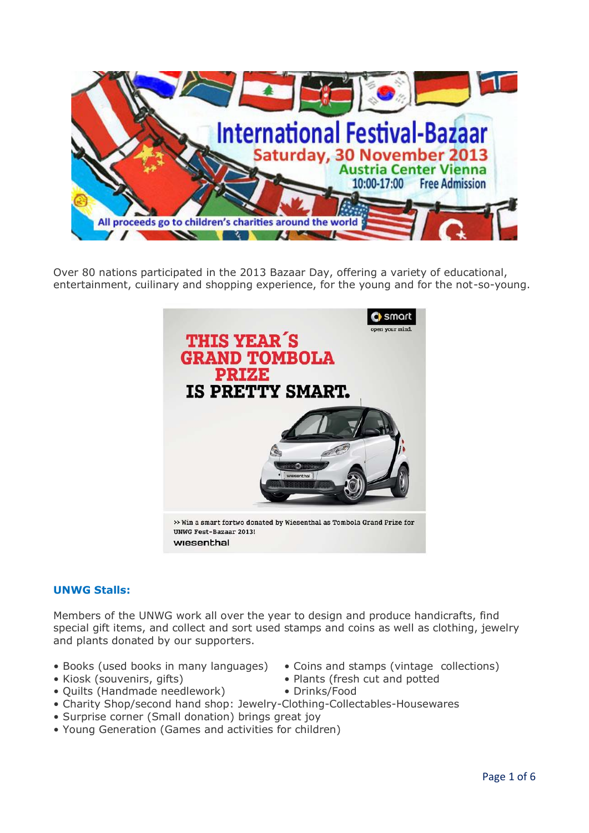

Over 80 nations participated in the 2013 Bazaar Day, offering a variety of educational, entertainment, cuilinary and shopping experience, for the young and for the not-so-young.



# **UNWG Stalls:**

Members of the UNWG work all over the year to design and produce handicrafts, find special gift items, and collect and sort used stamps and coins as well as clothing, jewelry and plants donated by our supporters.

- Books (used books in many languages) Coins and stamps (vintage collections)
- 
- Quilts (Handmade needlework) Drinks/Food
- Charity Shop/second hand shop: Jewelry-Clothing-Collectables-Housewares
- Surprise corner (Small donation) brings great joy
- Young Generation (Games and activities for children)
- 
- Kiosk (souvenirs, gifts) Plants (fresh cut and potted
- Page 1 of 6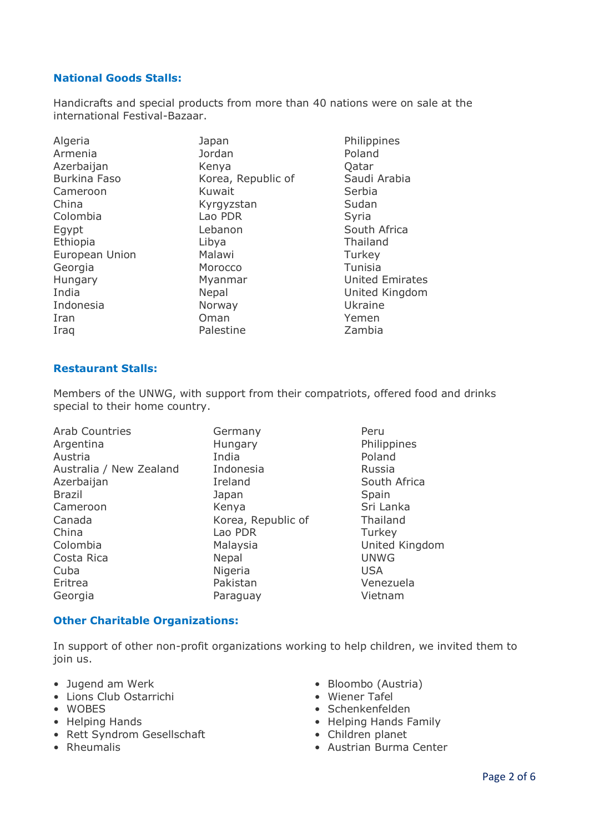# **National Goods Stalls:**

Handicrafts and special products from more than 40 nations were on sale at the international Festival-Bazaar.

| Algeria             | Japan              | Philippines            |
|---------------------|--------------------|------------------------|
| Armenia             | Jordan             | Poland                 |
| Azerbaijan          | Kenya              | Qatar                  |
| <b>Burkina Faso</b> | Korea, Republic of | Saudi Arabia           |
| Cameroon            | Kuwait             | Serbia                 |
| China               | Kyrgyzstan         | Sudan                  |
| Colombia            | Lao PDR            | Syria                  |
| Egypt               | Lebanon            | South Africa           |
| Ethiopia            | Libya              | Thailand               |
| European Union      | Malawi             | Turkey                 |
| Georgia             | Morocco            | Tunisia                |
| Hungary             | Myanmar            | <b>United Emirates</b> |
| India               | Nepal              | United Kingdom         |
| Indonesia           | Norway             | Ukraine                |
| Iran                | Oman               | Yemen                  |
| Iraq                | Palestine          | Zambia                 |

#### **Restaurant Stalls:**

Members of the UNWG, with support from their compatriots, offered food and drinks special to their home country.

| <b>Arab Countries</b>   | Germany            | Peru        |
|-------------------------|--------------------|-------------|
| Argentina               | Hungary            | Philippin   |
| Austria                 | India              | Poland      |
| Australia / New Zealand | Indonesia          | Russia      |
| Azerbaijan              | Ireland            | South Af    |
| <b>Brazil</b>           | Japan              | Spain       |
| Cameroon                | Kenya              | Sri Lanka   |
| Canada                  | Korea, Republic of | Thailand    |
| China                   | Lao PDR            | Turkey      |
| Colombia                | Malaysia           | United K    |
| Costa Rica              | Nepal              | <b>UNWG</b> |
| Cuba                    | Nigeria            | <b>USA</b>  |
| Eritrea                 | Pakistan           | Venezuel    |
| Georgia                 | Paraguay           | Vietnam     |
|                         |                    |             |

Philippines South Africa Sri Lanka ublic of Thailand United Kingdom Venezuela

#### **Other Charitable Organizations:**

In support of other non-profit organizations working to help children, we invited them to join us.

- Jugend am Werk Bloombo (Austria)
- Lions Club Ostarrichi Wiener Tafel
- 
- 
- Rett Syndrom Gesellschaft Children planet
- 
- 
- 
- WOBES Schenkenfelden
- Helping Hands Helping Hands Family
	-
- Rheumalis Austrian Burma Center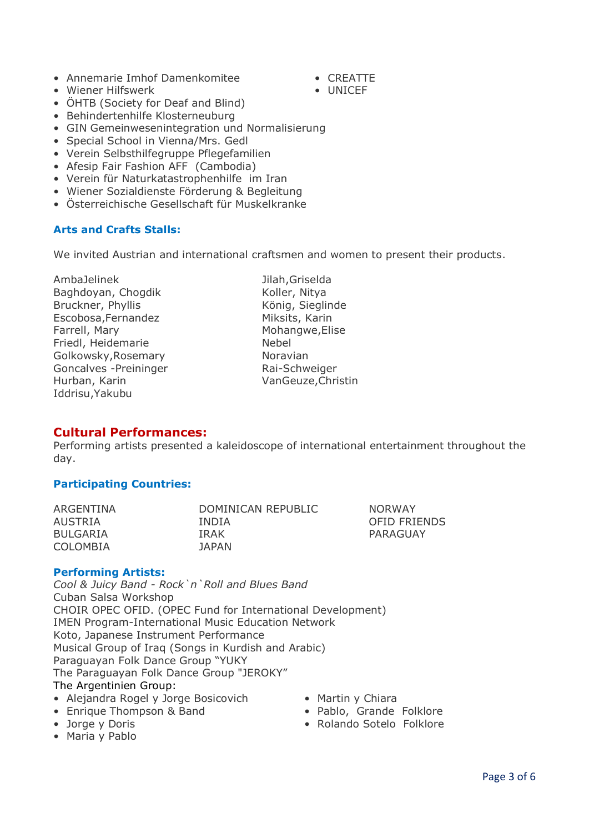- Annemarie Imhof Damenkomitee CREATTE
	-
- Wiener Hilfswerk UNICEF
- ÖHTB (Society for Deaf and Blind)
- Behindertenhilfe Klosterneuburg
- GIN Gemeinwesenintegration und Normalisierung
- Special School in Vienna/Mrs. Gedl
- Verein Selbsthilfegruppe Pflegefamilien
- Afesip Fair Fashion AFF (Cambodia)
- Verein für Naturkatastrophenhilfe im Iran
- Wiener Sozialdienste Förderung & Begleitung
- Österreichische Gesellschaft für Muskelkranke

# **Arts and Crafts Stalls:**

We invited Austrian and international craftsmen and women to present their products.

AmbaJelinek Jilah,Griselda Baghdoyan, Chogdik Koller, Nitya Bruckner, Phyllis König, Sieglinde Escobosa,Fernandez Miksits, Karin Farrell, Mary **Mohangwe, Elise** Mohangwe, Elise Friedl, Heidemarie Nebel Golkowsky, Rosemary Noravian Goncalves -Preininger Rai-Schweiger Hurban, Karin VanGeuze, Christin Iddrisu,Yakubu

# **Cultural Performances:**

Performing artists presented a kaleidoscope of international entertainment throughout the day.

# **Participating Countries:**

| ARGENTINA       | DOMINICAN REPUBLIC | <b>NORWAY</b>       |
|-----------------|--------------------|---------------------|
| AUSTRIA         | <b>INDIA</b>       | <b>OFID FRIENDS</b> |
| <b>BULGARIA</b> | <b>TRAK</b>        | PARAGUAY            |
| <b>COLOMBIA</b> | JAPAN.             |                     |

# **Performing Artists:**

*Cool & Juicy Band - Rock`n`Roll and Blues Band* Cuban Salsa Workshop CHOIR OPEC OFID. (OPEC Fund for International Development) IMEN Program-International Music Education Network Koto, Japanese Instrument Performance Musical Group of Iraq (Songs in Kurdish and Arabic) Paraguayan Folk Dance Group "YUKY The Paraguayan Folk Dance Group "JEROKY" The Argentinien Group:

- Alejandra Rogel y Jorge Bosicovich Martin y Chiara
- Enrique Thompson & Band Pablo, Grande Folklore
- 
- Jorge y Doris Rolando Sotelo Folklore
- Maria y Pablo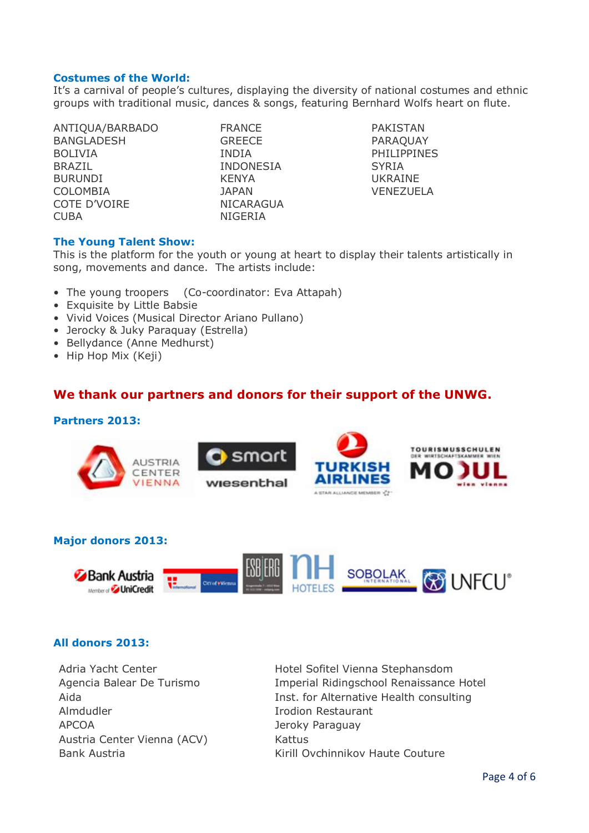#### **Costumes of the World:**

It's a carnival of people's cultures, displaying the diversity of national costumes and ethnic groups with traditional music, dances & songs, featuring Bernhard Wolfs heart on flute.

ANTIQUA/BARBADO FRANCE PAKISTAN BANGLADESH GREECE PARAQUAY BOLIVIA INDIA PHILIPPINES BRAZIL INDONESIA SYRIA BURUNDI KENYA UKRAINE COLOMBIA JAPAN VENEZUELA COTE D'VOIRE NICARAGUA CUBA NIGERIA

#### **The Young Talent Show:**

This is the platform for the youth or young at heart to display their talents artistically in song, movements and dance. The artists include:

- The young troopers (Co-coordinator: Eva Attapah)
- Exquisite by Little Babsie
- Vivid Voices (Musical Director Ariano Pullano)
- Jerocky & Juky Paraquay (Estrella)
- Bellydance (Anne Medhurst)
- Hip Hop Mix (Keji)

# **We thank our partners and donors for their support of the UNWG.**

#### **Partners 2013:**







# **All donors 2013:**

Adria Yacht Center Hotel Sofitel Vienna Stephansdom Almdudler Irodion Restaurant APCOA Jeroky Paraguay Austria Center Vienna (ACV) Kattus

Agencia Balear De Turismo Imperial Ridingschool Renaissance Hotel Aida **Inst.** for Alternative Health consulting Bank Austria Kirill Ovchinnikov Haute Couture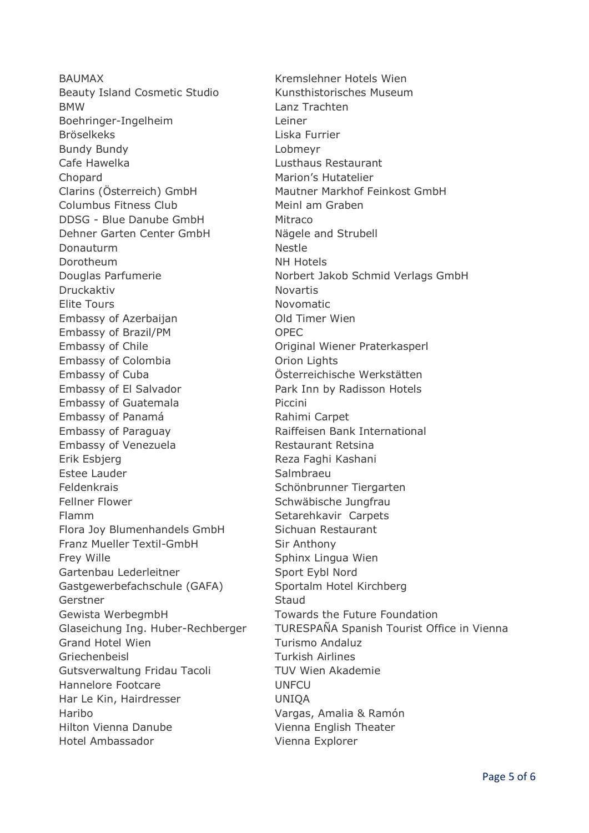BAUMAX Kremslehner Hotels Wien Beauty Island Cosmetic Studio Kunsthistorisches Museum BMW Lanz Trachten Boehringer-Ingelheim Leiner Bröselkeks Liska Furrier Bundy Bundy Lobmeyr Cafe Hawelka Lusthaus Restaurant Chopard Marion's Hutatelier Clarins (Österreich) GmbH Mautner Markhof Feinkost GmbH Columbus Fitness Club Meinl am Graben DDSG - Blue Danube GmbH Mitraco Dehner Garten Center GmbH Nägele and Strubell Donauturm Nestle Dorotheum NH Hotels Druckaktiv Novartis Elite Tours **Novomatic** Embassy of Azerbaijan **Old Timer Wien** Embassy of Brazil/PM OPEC Embassy of Chile **Chile Chile Childeen** Original Wiener Praterkasperl Embassy of Colombia **Canadia** Orion Lights Embassy of Cuba Österreichische Werkstätten Embassy of El Salvador **Park Inn by Radisson Hotels** Embassy of Guatemala Piccini Embassy of Panamá Rahimi Carpet Embassy of Paraguay The Raiffeisen Bank International Embassy of Venezuela Restaurant Retsina Erik Esbjerg Reza Faghi Kashani Estee Lauder Salmbraeu Feldenkrais Schönbrunner Tiergarten Fellner Flower Schwäbische Jungfrau Flamm Setarehkavir Carpets Flora Joy Blumenhandels GmbH Sichuan Restaurant Franz Mueller Textil-GmbH Sir Anthony Frey Wille **Sphinx Lingua Wien** Gartenbau Lederleitner Sport Eybl Nord Gastgewerbefachschule (GAFA) Sportalm Hotel Kirchberg Gerstner Staud Gewista WerbegmbH Towards the Future Foundation Grand Hotel Wien **Turismo Andaluz** Griechenbeisl Turkish Airlines Gutsverwaltung Fridau Tacoli TUV Wien Akademie Hannelore Footcare **UNFCU** Har Le Kin, Hairdresser **UNIOA** Haribo Vargas, Amalia & Ramón Hilton Vienna Danube Vienna English Theater Hotel Ambassador Vienna Explorer

Douglas Parfumerie Norbert Jakob Schmid Verlags GmbH Glaseichung Ing. Huber-Rechberger TURESPAÑA Spanish Tourist Office in Vienna